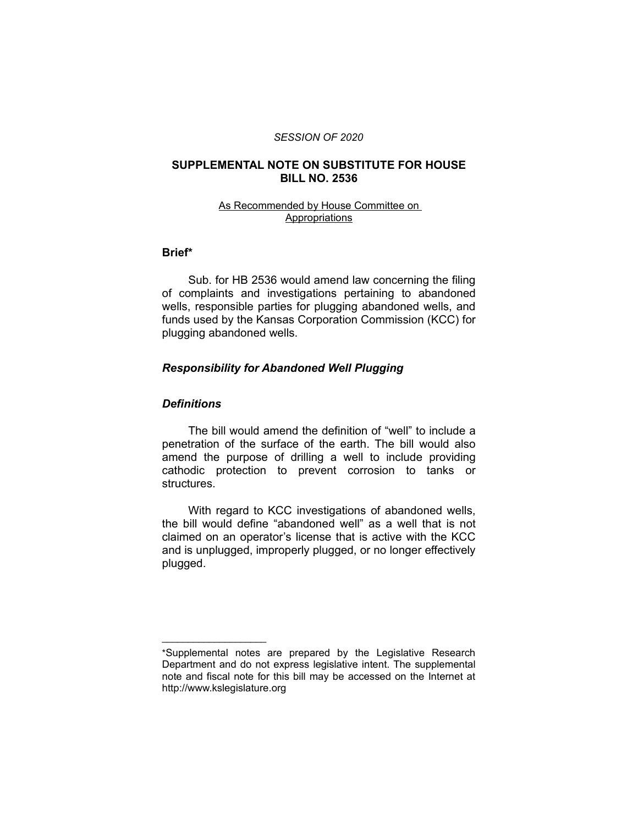#### *SESSION OF 2020*

### **SUPPLEMENTAL NOTE ON SUBSTITUTE FOR HOUSE BILL NO. 2536**

### As Recommended by House Committee on Appropriations

### **Brief\***

Sub. for HB 2536 would amend law concerning the filing of complaints and investigations pertaining to abandoned wells, responsible parties for plugging abandoned wells, and funds used by the Kansas Corporation Commission (KCC) for plugging abandoned wells.

### *Responsibility for Abandoned Well Plugging*

### *Definitions*

 $\overline{\phantom{a}}$  , where  $\overline{\phantom{a}}$  , where  $\overline{\phantom{a}}$ 

The bill would amend the definition of "well" to include a penetration of the surface of the earth. The bill would also amend the purpose of drilling a well to include providing cathodic protection to prevent corrosion to tanks or structures.

With regard to KCC investigations of abandoned wells, the bill would define "abandoned well" as a well that is not claimed on an operator's license that is active with the KCC and is unplugged, improperly plugged, or no longer effectively plugged.

<sup>\*</sup>Supplemental notes are prepared by the Legislative Research Department and do not express legislative intent. The supplemental note and fiscal note for this bill may be accessed on the Internet at http://www.kslegislature.org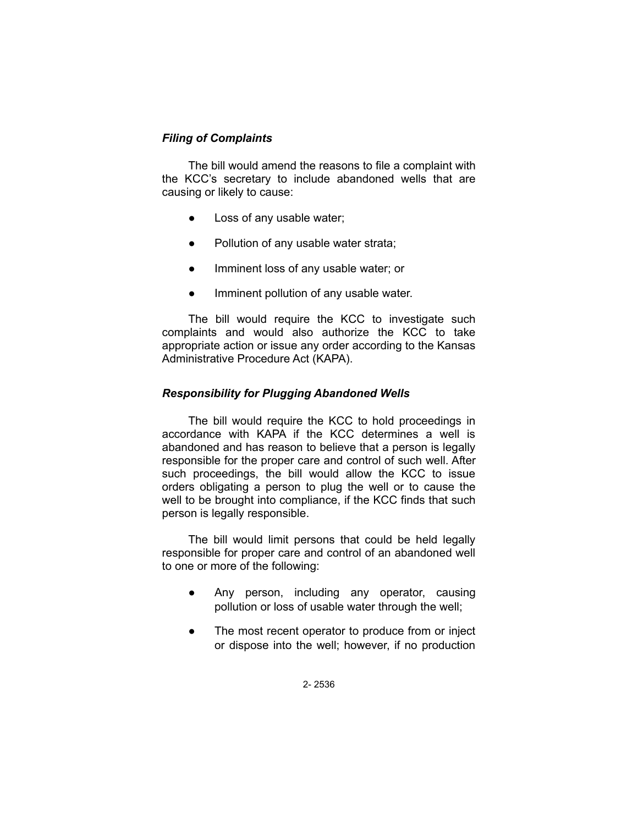## *Filing of Complaints*

The bill would amend the reasons to file a complaint with the KCC's secretary to include abandoned wells that are causing or likely to cause:

- Loss of any usable water;
- Pollution of any usable water strata;
- Imminent loss of any usable water; or
- Imminent pollution of any usable water.

The bill would require the KCC to investigate such complaints and would also authorize the KCC to take appropriate action or issue any order according to the Kansas Administrative Procedure Act (KAPA).

## *Responsibility for Plugging Abandoned Wells*

The bill would require the KCC to hold proceedings in accordance with KAPA if the KCC determines a well is abandoned and has reason to believe that a person is legally responsible for the proper care and control of such well. After such proceedings, the bill would allow the KCC to issue orders obligating a person to plug the well or to cause the well to be brought into compliance, if the KCC finds that such person is legally responsible.

The bill would limit persons that could be held legally responsible for proper care and control of an abandoned well to one or more of the following:

- Any person, including any operator, causing pollution or loss of usable water through the well;
- The most recent operator to produce from or inject or dispose into the well; however, if no production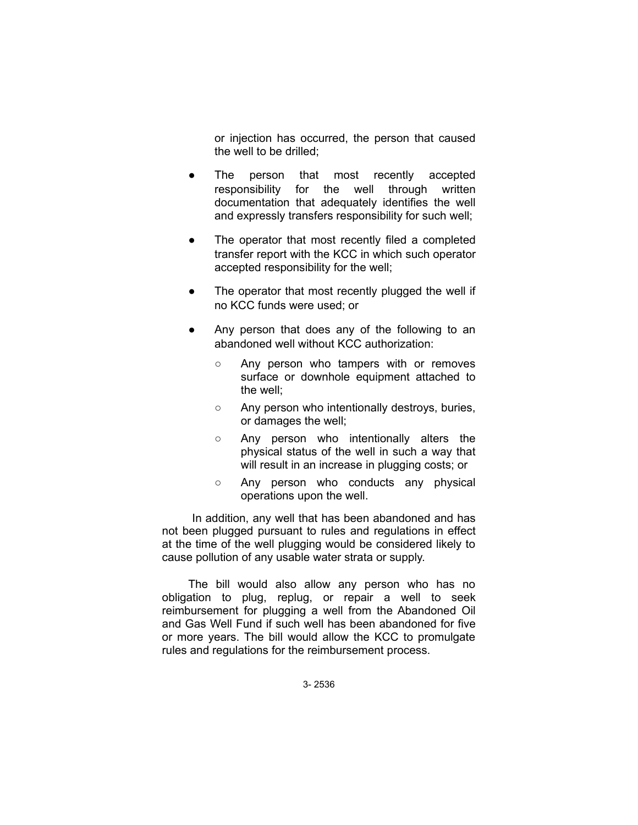or injection has occurred, the person that caused the well to be drilled;

- The person that most recently accepted responsibility for the well through written documentation that adequately identifies the well and expressly transfers responsibility for such well;
- The operator that most recently filed a completed transfer report with the KCC in which such operator accepted responsibility for the well;
- The operator that most recently plugged the well if no KCC funds were used; or
- Any person that does any of the following to an abandoned well without KCC authorization:
	- Any person who tampers with or removes surface or downhole equipment attached to the well;
	- Any person who intentionally destroys, buries, or damages the well;
	- Any person who intentionally alters the physical status of the well in such a way that will result in an increase in plugging costs; or
	- Any person who conducts any physical operations upon the well.

 In addition, any well that has been abandoned and has not been plugged pursuant to rules and regulations in effect at the time of the well plugging would be considered likely to cause pollution of any usable water strata or supply.

The bill would also allow any person who has no obligation to plug, replug, or repair a well to seek reimbursement for plugging a well from the Abandoned Oil and Gas Well Fund if such well has been abandoned for five or more years. The bill would allow the KCC to promulgate rules and regulations for the reimbursement process.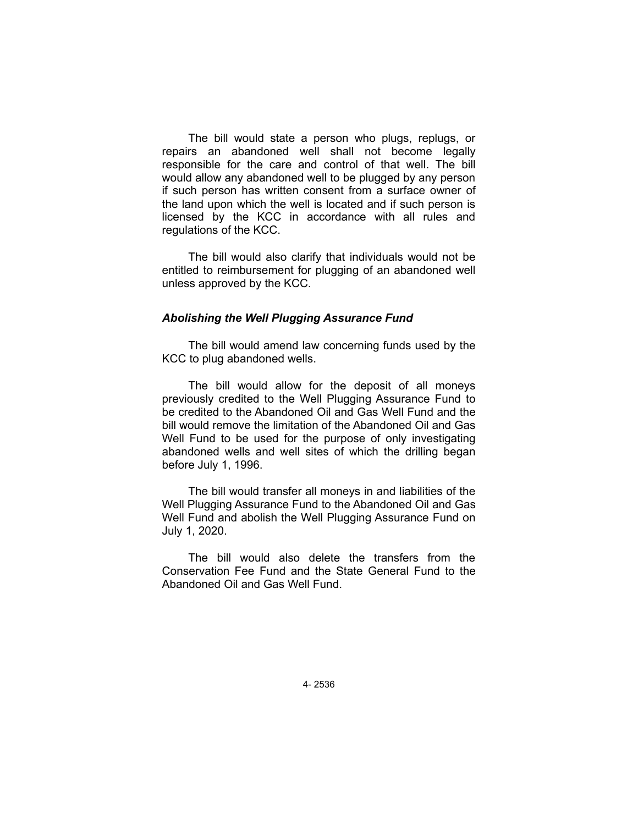The bill would state a person who plugs, replugs, or repairs an abandoned well shall not become legally responsible for the care and control of that well. The bill would allow any abandoned well to be plugged by any person if such person has written consent from a surface owner of the land upon which the well is located and if such person is licensed by the KCC in accordance with all rules and regulations of the KCC.

The bill would also clarify that individuals would not be entitled to reimbursement for plugging of an abandoned well unless approved by the KCC.

#### *Abolishing the Well Plugging Assurance Fund*

The bill would amend law concerning funds used by the KCC to plug abandoned wells.

The bill would allow for the deposit of all moneys previously credited to the Well Plugging Assurance Fund to be credited to the Abandoned Oil and Gas Well Fund and the bill would remove the limitation of the Abandoned Oil and Gas Well Fund to be used for the purpose of only investigating abandoned wells and well sites of which the drilling began before July 1, 1996.

The bill would transfer all moneys in and liabilities of the Well Plugging Assurance Fund to the Abandoned Oil and Gas Well Fund and abolish the Well Plugging Assurance Fund on July 1, 2020.

The bill would also delete the transfers from the Conservation Fee Fund and the State General Fund to the Abandoned Oil and Gas Well Fund.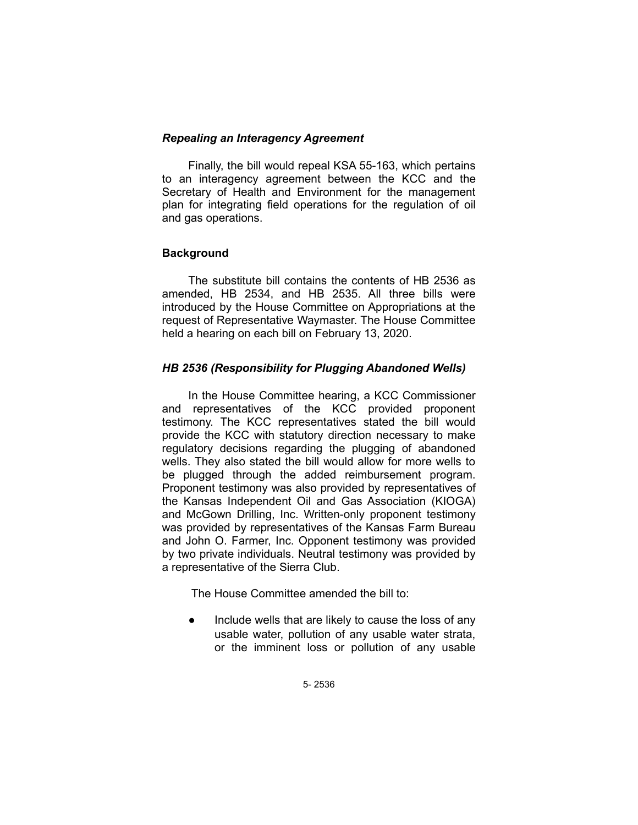### *Repealing an Interagency Agreement*

Finally, the bill would repeal KSA 55-163, which pertains to an interagency agreement between the KCC and the Secretary of Health and Environment for the management plan for integrating field operations for the regulation of oil and gas operations.

# **Background**

The substitute bill contains the contents of HB 2536 as amended, HB 2534, and HB 2535. All three bills were introduced by the House Committee on Appropriations at the request of Representative Waymaster. The House Committee held a hearing on each bill on February 13, 2020.

## *HB 2536 (Responsibility for Plugging Abandoned Wells)*

In the House Committee hearing, a KCC Commissioner and representatives of the KCC provided proponent testimony. The KCC representatives stated the bill would provide the KCC with statutory direction necessary to make regulatory decisions regarding the plugging of abandoned wells. They also stated the bill would allow for more wells to be plugged through the added reimbursement program. Proponent testimony was also provided by representatives of the Kansas Independent Oil and Gas Association (KIOGA) and McGown Drilling, Inc. Written-only proponent testimony was provided by representatives of the Kansas Farm Bureau and John O. Farmer, Inc. Opponent testimony was provided by two private individuals. Neutral testimony was provided by a representative of the Sierra Club.

The House Committee amended the bill to:

• Include wells that are likely to cause the loss of any usable water, pollution of any usable water strata, or the imminent loss or pollution of any usable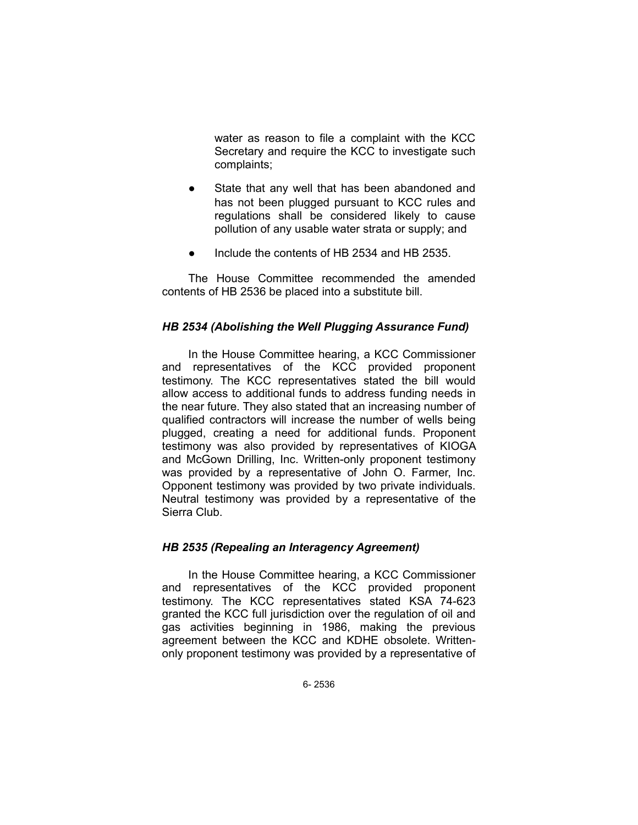water as reason to file a complaint with the KCC Secretary and require the KCC to investigate such complaints;

- State that any well that has been abandoned and has not been plugged pursuant to KCC rules and regulations shall be considered likely to cause pollution of any usable water strata or supply; and
- Include the contents of HB 2534 and HB 2535.

The House Committee recommended the amended contents of HB 2536 be placed into a substitute bill.

## *HB 2534 (Abolishing the Well Plugging Assurance Fund)*

In the House Committee hearing, a KCC Commissioner and representatives of the KCC provided proponent testimony. The KCC representatives stated the bill would allow access to additional funds to address funding needs in the near future. They also stated that an increasing number of qualified contractors will increase the number of wells being plugged, creating a need for additional funds. Proponent testimony was also provided by representatives of KIOGA and McGown Drilling, Inc. Written-only proponent testimony was provided by a representative of John O. Farmer, Inc. Opponent testimony was provided by two private individuals. Neutral testimony was provided by a representative of the Sierra Club.

### *HB 2535 (Repealing an Interagency Agreement)*

In the House Committee hearing, a KCC Commissioner and representatives of the KCC provided proponent testimony. The KCC representatives stated KSA 74-623 granted the KCC full jurisdiction over the regulation of oil and gas activities beginning in 1986, making the previous agreement between the KCC and KDHE obsolete. Writtenonly proponent testimony was provided by a representative of